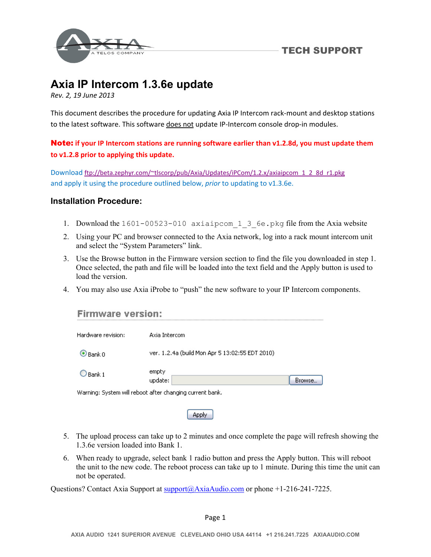

# **Axia IP Intercom 1.3.6e update**

*Rev. 2, 19 June 2013*

This document describes the procedure for updating Axia IP Intercom rack‐mount and desktop stations to the latest software. This software does not update IP-Intercom console drop-in modules.

Note: **if your IP Intercom stations are running software earlier than v1.2.8d, you must update them to v1.2.8 prior to applying this update.** 

Download ftp://beta.zephyr.com/~tlscorp/pub/Axia/Updates/iPCom/1.2.x/axiaipcom\_1\_2\_8d\_r1.pkg and apply it using the procedure outlined below, *prior* to updating to v1.3.6e.

## **Installation Procedure:**

- 1. Download the 1601-00523-010 axiaipcom 1 3 6e.pkg file from the Axia website
- 2. Using your PC and browser connected to the Axia network, log into a rack mount intercom unit and select the "System Parameters" link.
- 3. Use the Browse button in the Firmware version section to find the file you downloaded in step 1. Once selected, the path and file will be loaded into the text field and the Apply button is used to load the version.
- 4. You may also use Axia iProbe to "push" the new software to your IP Intercom components.

| <b>Firmware version:</b>                                 |                                                 |
|----------------------------------------------------------|-------------------------------------------------|
| Hardware revision:                                       | Axia Intercom                                   |
| $\odot$ Bank $0$                                         | ver. 1.2.4a (build Mon Apr 5 13:02:55 EDT 2010) |
| Rank 1                                                   | empty<br>update:<br>Browse                      |
| Warning: System will reboot after changing current bank. |                                                 |

- 5. The upload process can take up to 2 minutes and once complete the page will refresh showing the 1.3.6e version loaded into Bank 1.
- 6. When ready to upgrade, select bank 1 radio button and press the Apply button. This will reboot the unit to the new code. The reboot process can take up to 1 minute. During this time the unit can not be operated.

Questions? Contact Axia Support at support@AxiaAudio.com or phone +1-216-241-7225.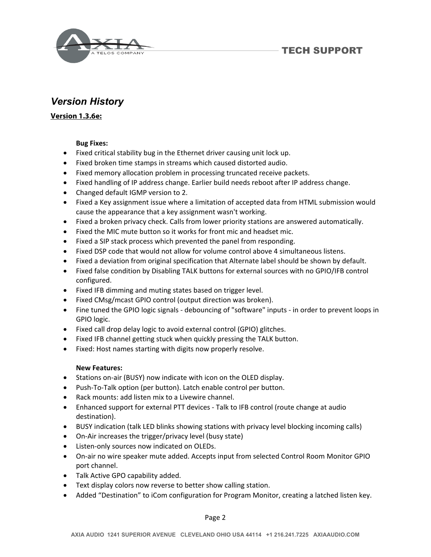

**TECH SUPPORT** 

## *Version History*

## **Version 1.3.6e:**

#### **Bug Fixes:**

- Fixed critical stability bug in the Ethernet driver causing unit lock up.
- Fixed broken time stamps in streams which caused distorted audio.
- Fixed memory allocation problem in processing truncated receive packets.
- Fixed handling of IP address change. Earlier build needs reboot after IP address change.
- Changed default IGMP version to 2.
- Fixed a Key assignment issue where a limitation of accepted data from HTML submission would cause the appearance that a key assignment wasn't working.
- Fixed a broken privacy check. Calls from lower priority stations are answered automatically.
- Fixed the MIC mute button so it works for front mic and headset mic.
- Fixed a SIP stack process which prevented the panel from responding.
- Fixed DSP code that would not allow for volume control above 4 simultaneous listens.
- Fixed a deviation from original specification that Alternate label should be shown by default.
- Fixed false condition by Disabling TALK buttons for external sources with no GPIO/IFB control configured.
- Fixed IFB dimming and muting states based on trigger level.
- Fixed CMsg/mcast GPIO control (output direction was broken).
- Fine tuned the GPIO logic signals debouncing of "software" inputs in order to prevent loops in GPIO logic.
- Fixed call drop delay logic to avoid external control (GPIO) glitches.
- Fixed IFB channel getting stuck when quickly pressing the TALK button.
- Fixed: Host names starting with digits now properly resolve.

#### **New Features:**

- Stations on-air (BUSY) now indicate with icon on the OLED display.
- Push-To-Talk option (per button). Latch enable control per button.
- Rack mounts: add listen mix to a Livewire channel.
- Enhanced support for external PTT devices Talk to IFB control (route change at audio destination).
- BUSY indication (talk LED blinks showing stations with privacy level blocking incoming calls)
- On-Air increases the trigger/privacy level (busy state)
- Listen-only sources now indicated on OLEDs.
- On-air no wire speaker mute added. Accepts input from selected Control Room Monitor GPIO port channel.
- Talk Active GPO capability added.
- Text display colors now reverse to better show calling station.
- Added "Destination" to iCom configuration for Program Monitor, creating a latched listen key.

Page 2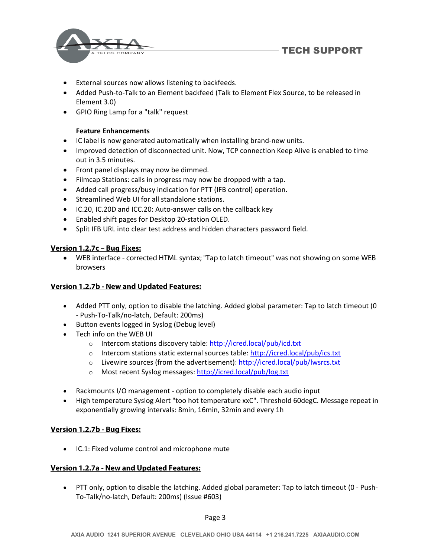

- External sources now allows listening to backfeeds.
- Added Push-to-Talk to an Element backfeed (Talk to Element Flex Source, to be released in Element 3.0)
- GPIO Ring Lamp for a "talk" request

#### **Feature Enhancements**

- IC label is now generated automatically when installing brand-new units.
- Improved detection of disconnected unit. Now, TCP connection Keep Alive is enabled to time out in 3.5 minutes.
- Front panel displays may now be dimmed.
- Filmcap Stations: calls in progress may now be dropped with a tap.
- Added call progress/busy indication for PTT (IFB control) operation.
- **•** Streamlined Web UI for all standalone stations.
- IC.20, IC.20D and ICC.20: Auto-answer calls on the callback key
- Enabled shift pages for Desktop 20‐station OLED.
- Split IFB URL into clear test address and hidden characters password field.

#### **Version 1.2.7c – Bug Fixes:**

 WEB interface - corrected HTML syntax; "Tap to latch timeout" was not showing on some WEB browsers

#### **Version 1.2.7b - New and Updated Features:**

- Added PTT only, option to disable the latching. Added global parameter: Tap to latch timeout (0 ‐ Push‐To‐Talk/no‐latch, Default: 200ms)
- Button events logged in Syslog (Debug level)
- Tech info on the WEB UI
	- o Intercom stations discovery table: http://icred.local/pub/icd.txt
	- o Intercom stations static external sources table: http://icred.local/pub/ics.txt
	- o Livewire sources (from the advertisement): http://icred.local/pub/lwsrcs.txt
	- o Most recent Syslog messages: http://icred.local/pub/log.txt
- Rackmounts I/O management option to completely disable each audio input
- High temperature Syslog Alert "too hot temperature xxC". Threshold 60degC. Message repeat in exponentially growing intervals: 8min, 16min, 32min and every 1h

#### **Version 1.2.7b - Bug Fixes:**

IC.1: Fixed volume control and microphone mute

#### **Version 1.2.7a - New and Updated Features:**

 PTT only, option to disable the latching. Added global parameter: Tap to latch timeout (0 ‐ Push‐ To‐Talk/no‐latch, Default: 200ms) (Issue #603)

Page 3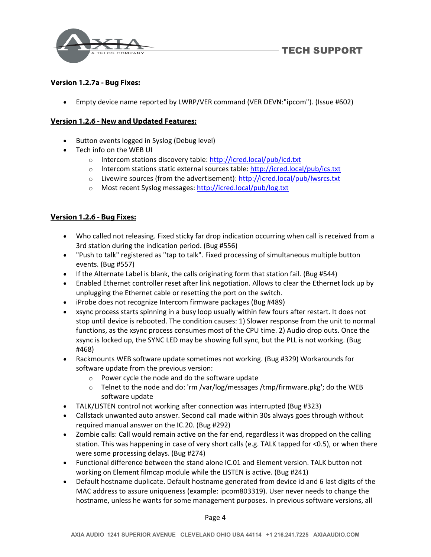

## **Version 1.2.7a - Bug Fixes:**

Empty device name reported by LWRP/VER command (VER DEVN:"ipcom"). (Issue #602)

## **Version 1.2.6 - New and Updated Features:**

- Button events logged in Syslog (Debug level)
- Tech info on the WEB UI
	- o Intercom stations discovery table: http://icred.local/pub/icd.txt
	- o Intercom stations static external sources table: http://icred.local/pub/ics.txt
	- o Livewire sources (from the advertisement): http://icred.local/pub/lwsrcs.txt
	- o Most recent Syslog messages: http://icred.local/pub/log.txt

## **Version 1.2.6 - Bug Fixes:**

- Who called not releasing. Fixed sticky far drop indication occurring when call is received from a 3rd station during the indication period. (Bug #556)
- "Push to talk" registered as "tap to talk". Fixed processing of simultaneous multiple button events. (Bug #557)
- If the Alternate Label is blank, the calls originating form that station fail. (Bug #544)
- Enabled Ethernet controller reset after link negotiation. Allows to clear the Ethernet lock up by unplugging the Ethernet cable or resetting the port on the switch.
- iProbe does not recognize Intercom firmware packages (Bug #489)
- xsync process starts spinning in a busy loop usually within few fours after restart. It does not stop until device is rebooted. The condition causes: 1) Slower response from the unit to normal functions, as the xsync process consumes most of the CPU time. 2) Audio drop outs. Once the xsync is locked up, the SYNC LED may be showing full sync, but the PLL is not working. (Bug #468)
- Rackmounts WEB software update sometimes not working. (Bug #329) Workarounds for software update from the previous version:
	- o Power cycle the node and do the software update
	- $\circ$  Telnet to the node and do: 'rm /var/log/messages /tmp/firmware.pkg'; do the WEB software update
- TALK/LISTEN control not working after connection was interrupted (Bug #323)
- Callstack unwanted auto answer. Second call made within 30s always goes through without required manual answer on the IC.20. (Bug #292)
- Zombie calls: Call would remain active on the far end, regardless it was dropped on the calling station. This was happening in case of very short calls (e.g. TALK tapped for <0.5), or when there were some processing delays. (Bug #274)
- Functional difference between the stand alone IC.01 and Element version. TALK button not working on Element filmcap module while the LISTEN is active. (Bug #241)
- Default hostname duplicate. Default hostname generated from device id and 6 last digits of the MAC address to assure uniqueness (example: ipcom803319). User never needs to change the hostname, unless he wants for some management purposes. In previous software versions, all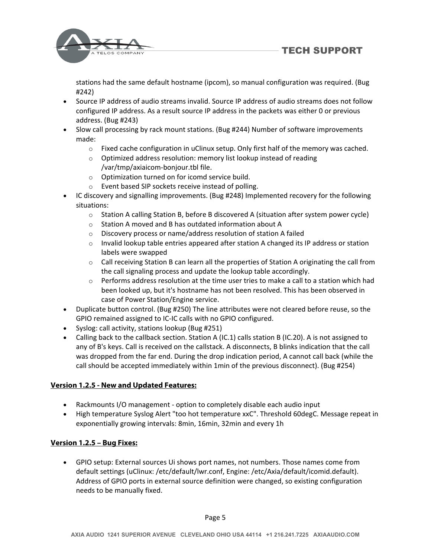**TECH SUPPORT** 



stations had the same default hostname (ipcom), so manual configuration was required. (Bug #242)

- Source IP address of audio streams invalid. Source IP address of audio streams does not follow configured IP address. As a result source IP address in the packets was either 0 or previous address. (Bug #243)
- Slow call processing by rack mount stations. (Bug #244) Number of software improvements made:
	- $\circ$  Fixed cache configuration in uClinux setup. Only first half of the memory was cached.
	- o Optimized address resolution: memory list lookup instead of reading /var/tmp/axiaicom‐bonjour.tbl file.
	- o Optimization turned on for icomd service build.
	- o Event based SIP sockets receive instead of polling.
- IC discovery and signalling improvements. (Bug #248) Implemented recovery for the following situations:
	- $\circ$  Station A calling Station B, before B discovered A (situation after system power cycle)
	- o Station A moved and B has outdated information about A
	- o Discovery process or name/address resolution of station A failed
	- $\circ$  Invalid lookup table entries appeared after station A changed its IP address or station labels were swapped
	- $\circ$  Call receiving Station B can learn all the properties of Station A originating the call from the call signaling process and update the lookup table accordingly.
	- $\circ$  Performs address resolution at the time user tries to make a call to a station which had been looked up, but it's hostname has not been resolved. This has been observed in case of Power Station/Engine service.
- Duplicate button control. (Bug #250) The line attributes were not cleared before reuse, so the GPIO remained assigned to IC‐IC calls with no GPIO configured.
- Syslog: call activity, stations lookup (Bug #251)
- Calling back to the callback section. Station A (IC.1) calls station B (IC.20). A is not assigned to any of B's keys. Call is received on the callstack. A disconnects, B blinks indication that the call was dropped from the far end. During the drop indication period, A cannot call back (while the call should be accepted immediately within 1min of the previous disconnect). (Bug #254)

## **Version 1.2.5 - New and Updated Features:**

- Rackmounts I/O management option to completely disable each audio input
- High temperature Syslog Alert "too hot temperature xxC". Threshold 60degC. Message repeat in exponentially growing intervals: 8min, 16min, 32min and every 1h

## **Version 1.2.5 – Bug Fixes:**

 GPIO setup: External sources Ui shows port names, not numbers. Those names come from default settings (uClinux: /etc/default/lwr.conf, Engine: /etc/Axia/default/icomid.default). Address of GPIO ports in external source definition were changed, so existing configuration needs to be manually fixed.